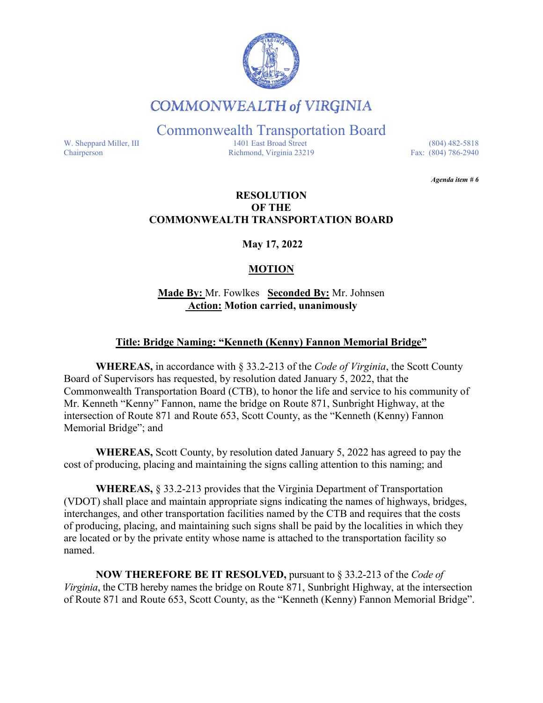

# **COMMONWEALTH of VIRGINIA**

Commonwealth Transportation Board

W. Sheppard Miller, III 1401 East Broad Street (804) 482-5818<br>Chairperson Richmond, Virginia 23219 Fax: (804) 786-2940 Richmond, Virginia 23219

*Agenda item # 6* 

### **RESOLUTION OF THE COMMONWEALTH TRANSPORTATION BOARD**

**May 17, 2022**

## **MOTION**

**Made By:** Mr. Fowlkes **Seconded By:** Mr. Johnsen **Action: Motion carried, unanimously**

#### **Title: Bridge Naming: "Kenneth (Kenny) Fannon Memorial Bridge"**

**WHEREAS,** in accordance with § 33.2-213 of the *Code of Virginia*, the Scott County Board of Supervisors has requested, by resolution dated January 5, 2022, that the Commonwealth Transportation Board (CTB), to honor the life and service to his community of Mr. Kenneth "Kenny" Fannon, name the bridge on Route 871, Sunbright Highway, at the intersection of Route 871 and Route 653, Scott County, as the "Kenneth (Kenny) Fannon Memorial Bridge"; and

**WHEREAS,** Scott County, by resolution dated January 5, 2022 has agreed to pay the cost of producing, placing and maintaining the signs calling attention to this naming; and

**WHEREAS,** § 33.2-213 provides that the Virginia Department of Transportation (VDOT) shall place and maintain appropriate signs indicating the names of highways, bridges, interchanges, and other transportation facilities named by the CTB and requires that the costs of producing, placing, and maintaining such signs shall be paid by the localities in which they are located or by the private entity whose name is attached to the transportation facility so named.

**NOW THEREFORE BE IT RESOLVED,** pursuant to § 33.2-213 of the *Code of Virginia*, the CTB hereby names the bridge on Route 871, Sunbright Highway, at the intersection of Route 871 and Route 653, Scott County, as the "Kenneth (Kenny) Fannon Memorial Bridge".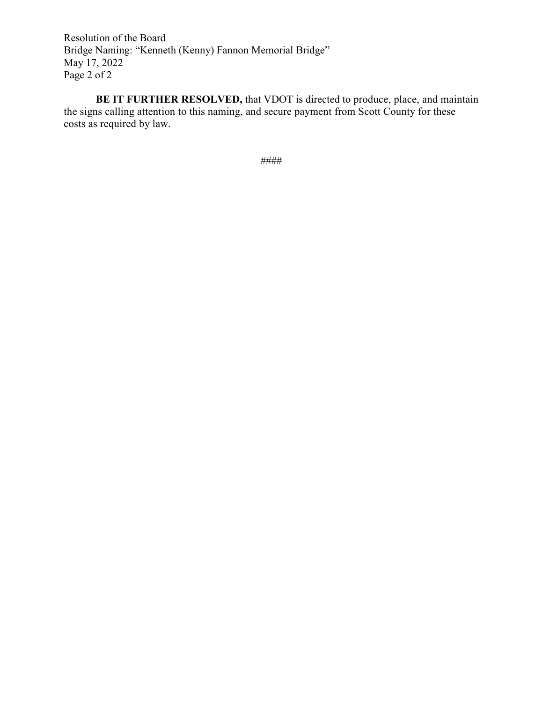Resolution of the Board Bridge Naming: "Kenneth (Kenny) Fannon Memorial Bridge" May 17, 2022 Page 2 of 2

**BE IT FURTHER RESOLVED,** that VDOT is directed to produce, place, and maintain the signs calling attention to this naming, and secure payment from Scott County for these costs as required by law.

####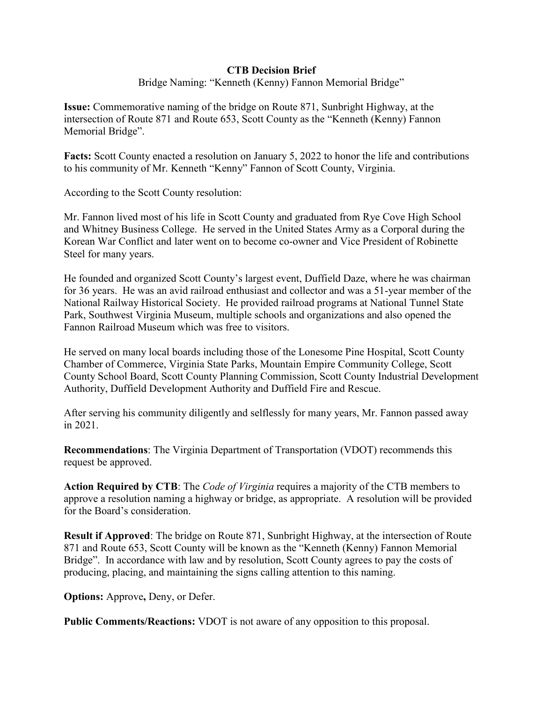#### **CTB Decision Brief**

Bridge Naming: "Kenneth (Kenny) Fannon Memorial Bridge"

**Issue:** Commemorative naming of the bridge on Route 871, Sunbright Highway, at the intersection of Route 871 and Route 653, Scott County as the "Kenneth (Kenny) Fannon Memorial Bridge".

**Facts:** Scott County enacted a resolution on January 5, 2022 to honor the life and contributions to his community of Mr. Kenneth "Kenny" Fannon of Scott County, Virginia.

According to the Scott County resolution:

Mr. Fannon lived most of his life in Scott County and graduated from Rye Cove High School and Whitney Business College. He served in the United States Army as a Corporal during the Korean War Conflict and later went on to become co-owner and Vice President of Robinette Steel for many years.

He founded and organized Scott County's largest event, Duffield Daze, where he was chairman for 36 years. He was an avid railroad enthusiast and collector and was a 51-year member of the National Railway Historical Society. He provided railroad programs at National Tunnel State Park, Southwest Virginia Museum, multiple schools and organizations and also opened the Fannon Railroad Museum which was free to visitors.

He served on many local boards including those of the Lonesome Pine Hospital, Scott County Chamber of Commerce, Virginia State Parks, Mountain Empire Community College, Scott County School Board, Scott County Planning Commission, Scott County Industrial Development Authority, Duffield Development Authority and Duffield Fire and Rescue.

After serving his community diligently and selflessly for many years, Mr. Fannon passed away in 2021.

**Recommendations**: The Virginia Department of Transportation (VDOT) recommends this request be approved.

**Action Required by CTB**: The *Code of Virginia* requires a majority of the CTB members to approve a resolution naming a highway or bridge, as appropriate. A resolution will be provided for the Board's consideration.

**Result if Approved**: The bridge on Route 871, Sunbright Highway, at the intersection of Route 871 and Route 653, Scott County will be known as the "Kenneth (Kenny) Fannon Memorial Bridge". In accordance with law and by resolution, Scott County agrees to pay the costs of producing, placing, and maintaining the signs calling attention to this naming.

**Options:** Approve**,** Deny, or Defer.

**Public Comments/Reactions:** VDOT is not aware of any opposition to this proposal.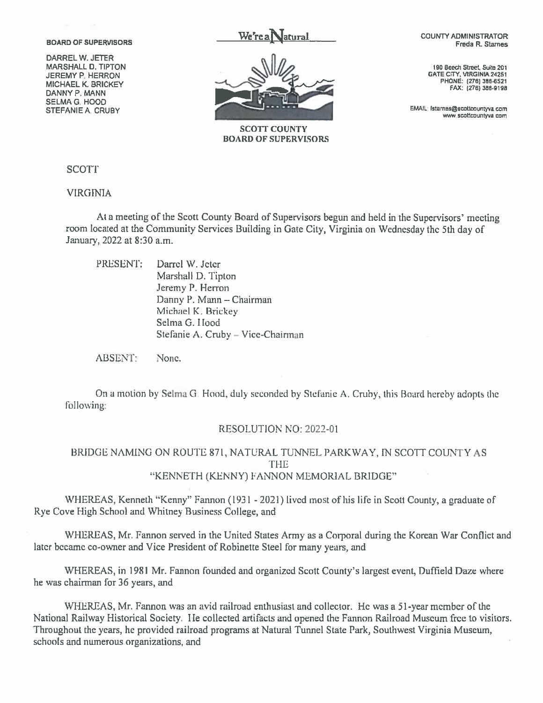**BOARD OF SUPERVISORS** 

DARREL W. JETER MARSHALL D. TIPTON JEREMY P. HERRON **MICHAEL K. BRICKEY** DANNY P. MANN **SELMA G. HOOD** STEFANIE A. CRUBY



**SCOTT COUNTY BOARD OF SUPERVISORS**  **COUNTY ADMINISTRATOR** Freda R. Starnes

190 Beech Street, Suite 201 GATE CITY, VIRGINIA 24251 PHONE: (276) 386-6521 FAX: (276) 386-9198

EMAIL: fstarnes@scottcountyva.com www.scottcountyva.com

**SCOTT** 

**VIRGINIA** 

At a meeting of the Scott County Board of Supervisors begun and held in the Supervisors' meeting room located at the Community Services Building in Gate City, Virginia on Wednesday the 5th day of January, 2022 at 8:30 a.m.

|  | PRESENT: Darrel W. Jeter          |
|--|-----------------------------------|
|  | Marshall D. Tipton                |
|  | Jeremy P. Herron                  |
|  | Danny P. Mann - Chairman          |
|  | Michael K. Brickey                |
|  | Selma G. Hood                     |
|  | Stefanie A. Cruby - Vice-Chairman |

ABSENT: None.

On a motion by Selma G. Hood, duly seconded by Stefanie A. Cruby, this Board hereby adopts the following:

#### RESOLUTION NO: 2022-01

BRIDGE NAMING ON ROUTE 871, NATURAL TUNNEL PARKWAY, IN SCOTT COUNTY AS **THE** "KENNETH (KENNY) FANNON MEMORIAL BRIDGE"

WHEREAS, Kenneth "Kenny" Fannon (1931 - 2021) lived most of his life in Scott County, a graduate of Rye Cove High School and Whitney Business College, and

WHEREAS, Mr. Fannon served in the United States Army as a Corporal during the Korean War Conflict and later became co-owner and Vice President of Robinette Steel for many years, and

WHEREAS, in 1981 Mr. Fannon founded and organized Scott County's largest event, Duffield Daze where he was chairman for 36 years, and

WHEREAS, Mr. Fannon was an avid railroad enthusiast and collector. He was a 51-year member of the National Railway Historical Society. He collected artifacts and opened the Fannon Railroad Museum free to visitors. Throughout the years, he provided railroad programs at Natural Tunnel State Park, Southwest Virginia Museum, schools and numerous organizations, and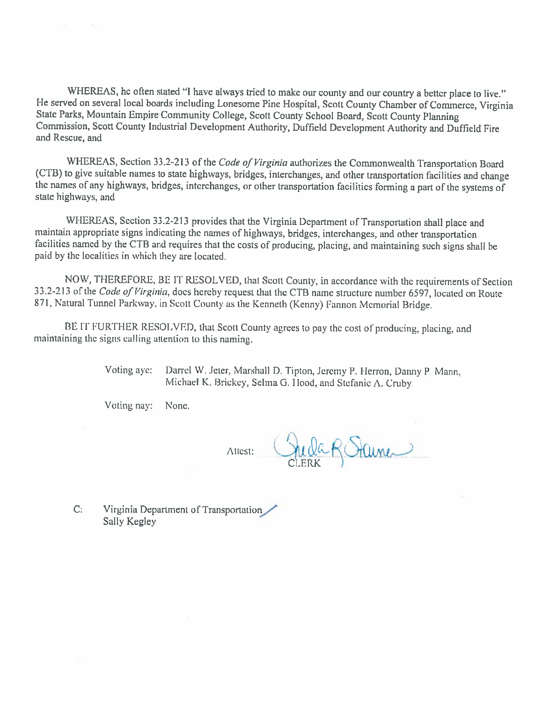WHEREAS, he often stated "I have always tried to make our county and our country a better place to live." He served on several local boards including Lonesome Pine Hospital, Scott County Chamber of Commerce, Virginia State Parks, Mountain Empire Community College, Scott County School Board, Scott County Planning Commission, Scott County Industrial Development Authority, Duffield Development Authority and Duffield Fire and Rescue, and

WHEREAS, Section 33.2-213 of the Code of Virginia authorizes the Commonwealth Transportation Board (CTB) to give suitable names to state highways, bridges, interchanges, and other transportation facilities and change the names of any highways, bridges, interchanges, or other transportation facilities forming a part of the systems of state highways, and

WHEREAS, Section 33.2-213 provides that the Virginia Department of Transportation shall place and maintain appropriate signs indicating the names of highways, bridges, interchanges, and other transportation facilities named by the CTB and requires that the costs of producing, placing, and maintaining such signs shall be paid by the localities in which they are located.

NOW, THEREFORE, BE IT RESOLVED, that Scott County, in accordance with the requirements of Section 33.2-213 of the Code of Virginia, does hereby request that the CTB name structure number 6597, located on Route 871, Natural Tunnel Parkway, in Scott County as the Kenneth (Kenny) Fannon Memorial Bridge.

BE IT FURTHER RESOLVED, that Scott County agrees to pay the cost of producing, placing, and maintaining the signs calling attention to this naming.

> Voting aye: Darrel W. Jeter, Marshall D. Tipton, Jeremy P. Herron, Danny P. Mann, Michael K. Brickey, Selma G. Hood, and Stefanic A. Cruby.

Voting nay: None.

Juda R Stainer Attest:

Virginia Department of Transportation  $C:$ Sally Kegley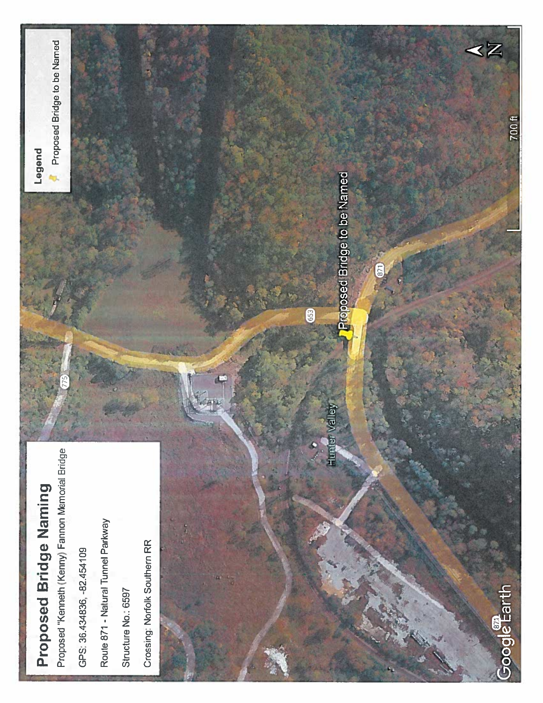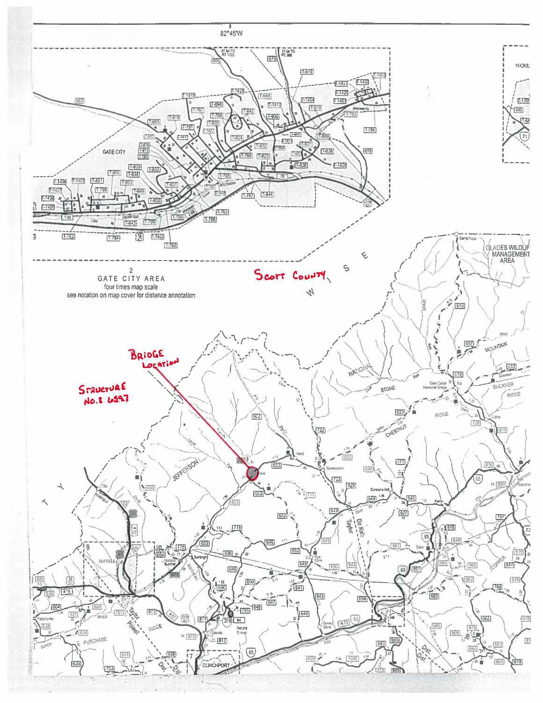